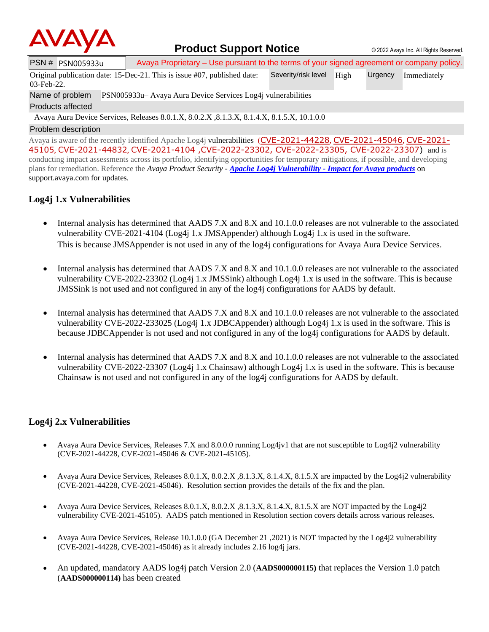

## **Product Support Notice**  $\circ$  2022 Avaya Inc. All Rights Reserved.

PSN # PSN005933u | Avaya Proprietary – Use pursuant to the terms of your signed agreement or company policy. Severity/risk level High Urgency Immediately

Original publication date: 15-Dec-21. This is issue #07, published date:

Name of problem PSN005933u– Avaya Aura Device Services Log4j vulnerabilities Products affected

03-Feb-22.

Avaya Aura Device Services, Releases 8.0.1.X, 8.0.2.X ,8.1.3.X, 8.1.4.X, 8.1.5.X, 10.1.0.0

#### Problem description

Avaya is aware of the recently identified Apache Log4j vulnerabilities ([CVE-2021-44228](https://cve.mitre.org/cgi-bin/cvename.cgi?name=CVE-2021-44228), [CVE-2021-45046](https://cve.mitre.org/cgi-bin/cvename.cgi?name=CVE-2021-45046), [CVE-2021-](https://cve.mitre.org/cgi-bin/cvename.cgi?name=CVE-2021-45105) [45105](https://cve.mitre.org/cgi-bin/cvename.cgi?name=CVE-2021-45105), [CVE-2021-44832](https://cve.mitre.org/cgi-bin/cvename.cgi?name=CVE-2021-44832), [CVE-2021-4104](https://cve.mitre.org/cgi-bin/cvename.cgi?name=CVE-2021-4104) [,CVE-2022-23302,](https://www.cvedetails.com/cve/CVE-2022-23302/) [CVE-2022-23305,](https://www.cvedetails.com/cve/CVE-2022-23305/) [CVE-2022-23307\)](https://www.cvedetails.com/cve/CVE-2022-23307/) and is conducting impact assessments across its portfolio, identifying opportunities for temporary mitigations, if possible, and developing plans for remediation. Reference the *Avaya Product Security - Apache Log4j Vulnerability - [Impact for Avaya products](http://www.avaya.com/emergencyupdate)* on support.avaya.com for updates.

## **Log4j 1.x Vulnerabilities**

- Internal analysis has determined that AADS 7.X and 8.X and 10.1.0.0 releases are not vulnerable to the associated vulnerability CVE-2021-4104 (Log4j 1.x JMSAppender) although Log4j 1.x is used in the software. This is because JMSAppender is not used in any of the log4j configurations for Avaya Aura Device Services.
- Internal analysis has determined that AADS 7.X and 8.X and 10.1.0.0 releases are not vulnerable to the associated vulnerability CVE-2022-23302 (Log4j 1.x JMSSink) although Log4j 1.x is used in the software. This is because JMSSink is not used and not configured in any of the log4j configurations for AADS by default.
- Internal analysis has determined that AADS 7.X and 8.X and 10.1.0.0 releases are not vulnerable to the associated vulnerability CVE-2022-233025 (Log4j 1.x JDBCAppender) although Log4j 1.x is used in the software. This is because JDBCAppender is not used and not configured in any of the log4j configurations for AADS by default.
- Internal analysis has determined that AADS 7.X and 8.X and 10.1.0.0 releases are not vulnerable to the associated vulnerability CVE-2022-23307 (Log4j 1.x Chainsaw) although Log4j 1.x is used in the software. This is because Chainsaw is not used and not configured in any of the log4j configurations for AADS by default.

### **Log4j 2.x Vulnerabilities**

- Avaya Aura Device Services, Releases 7.X and 8.0.0.0 running Log4jv1 that are not susceptible to Log4j2 vulnerability (CVE-2021-44228, CVE-2021-45046 & CVE-2021-45105).
- Avaya Aura Device Services, Releases 8.0.1.X, 8.0.2.X ,8.1.3.X, 8.1.4.X, 8.1.5.X are impacted by the Log4j2 vulnerability (CVE-2021-44228, CVE-2021-45046). Resolution section provides the details of the fix and the plan.
- Avaya Aura Device Services, Releases 8.0.1.X, 8.0.2.X, 8.1.3.X, 8.1.4.X, 8.1.5.X are NOT impacted by the Log4j2 vulnerability CVE-2021-45105). AADS patch mentioned in Resolution section covers details across various releases.
- Avaya Aura Device Services, Release 10.1.0.0 (GA December 21 ,2021) is NOT impacted by the Log4j2 vulnerability (CVE-2021-44228, CVE-2021-45046) as it already includes 2.16 log4j jars.
- An updated, mandatory AADS log4j patch Version 2.0 (**AADS000000115)** that replaces the Version 1.0 patch (**AADS000000114)** has been created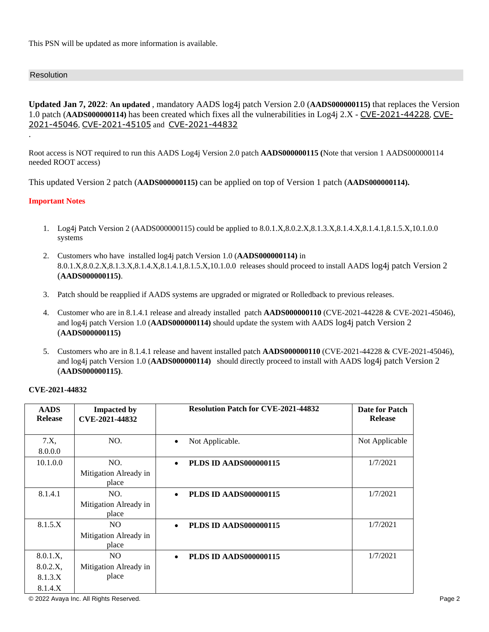This PSN will be updated as more information is available.

#### Resolution

.

**Updated Jan 7, 2022**: **An updated** , mandatory AADS log4j patch Version 2.0 (**AADS000000115)** that replaces the Version 1.0 patch (**AADS000000114)** has been created which fixes all the vulnerabilities in Log4j 2.X - [CVE-2021-44228](https://cve.mitre.org/cgi-bin/cvename.cgi?name=CVE-2021-44228), [CVE-](https://cve.mitre.org/cgi-bin/cvename.cgi?name=CVE-2021-45046)[2021-45046](https://cve.mitre.org/cgi-bin/cvename.cgi?name=CVE-2021-45046), [CVE-2021-45105](https://cve.mitre.org/cgi-bin/cvename.cgi?name=CVE-2021-45105) and [CVE-2021-44832](https://cve.mitre.org/cgi-bin/cvename.cgi?name=CVE-2021-44832)

Root access is NOT required to run this AADS Log4j Version 2.0 patch **AADS000000115 (**Note that version 1 AADS000000114 needed ROOT access)

This updated Version 2 patch (**AADS000000115)** can be applied on top of Version 1 patch (**AADS000000114).**

#### **Important Notes**

- 1. Log4j Patch Version 2 (AADS000000115) could be applied to 8.0.1.X,8.0.2.X,8.1.3.X,8.1.4.X,8.1.4.1,8.1.5.X,10.1.0.0 systems
- 2. Customers who have installed log4j patch Version 1.0 (**AADS000000114)** in 8.0.1.X,8.0.2.X,8.1.3.X,8.1.4.X,8.1.4.1,8.1.5.X,10.1.0.0 releases should proceed to install AADS log4j patch Version 2 (**AADS000000115)**.
- 3. Patch should be reapplied if AADS systems are upgraded or migrated or Rolledback to previous releases.
- 4. Customer who are in 8.1.4.1 release and already installed patch **AADS000000110** (CVE-2021-44228 & CVE-2021-45046), and log4j patch Version 1.0 (**AADS000000114)** should update the system with AADS log4j patch Version 2 (**AADS000000115)**
- 5. Customers who are in 8.1.4.1 release and havent installed patch **AADS000000110** (CVE-2021-44228 & CVE-2021-45046), and log4j patch Version 1.0 (**AADS000000114)** should directly proceed to install with AADS log4j patch Version 2 (**AADS000000115)**.

#### **CVE-2021-44832**

| <b>AADS</b><br><b>Release</b> | <b>Impacted by</b><br>CVE-2021-44832 | <b>Resolution Patch for CVE-2021-44832</b> | <b>Date for Patch</b><br><b>Release</b> |
|-------------------------------|--------------------------------------|--------------------------------------------|-----------------------------------------|
|                               |                                      |                                            |                                         |
| 7.X                           | NO.                                  | Not Applicable.<br>$\bullet$               | Not Applicable                          |
| 8.0.0.0                       |                                      |                                            |                                         |
| 10.1.0.0                      | NO.                                  | <b>PLDS ID AADS000000115</b><br>$\bullet$  | 1/7/2021                                |
|                               | Mitigation Already in                |                                            |                                         |
|                               | place                                |                                            |                                         |
| 8.1.4.1                       | NO.                                  | <b>PLDS ID AADS000000115</b><br>$\bullet$  | 1/7/2021                                |
|                               | Mitigation Already in                |                                            |                                         |
|                               | place                                |                                            |                                         |
| 8.1.5.X                       | NO.                                  | <b>PLDS ID AADS000000115</b><br>$\bullet$  | 1/7/2021                                |
|                               | Mitigation Already in                |                                            |                                         |
|                               | place                                |                                            |                                         |
| 8.0.1.X,                      | NO.                                  | <b>PLDS ID AADS000000115</b><br>$\bullet$  | 1/7/2021                                |
| 8.0.2.X,                      | Mitigation Already in                |                                            |                                         |
| 8.1.3.X                       | place                                |                                            |                                         |
| 8.1.4.X                       |                                      |                                            |                                         |

© 2022 Avaya Inc. All Rights Reserved. Page 2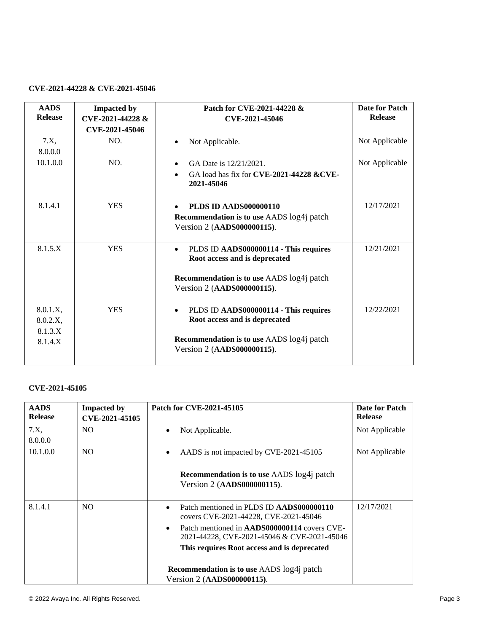### **CVE-2021-44228 & CVE-2021-45046**

| <b>AADS</b><br><b>Release</b>              | <b>Impacted by</b><br>CVE-2021-44228 &<br>CVE-2021-45046 | Patch for CVE-2021-44228 &<br>CVE-2021-45046                                                                                                                   | Date for Patch<br><b>Release</b> |
|--------------------------------------------|----------------------------------------------------------|----------------------------------------------------------------------------------------------------------------------------------------------------------------|----------------------------------|
| 7.X<br>8.0.0.0                             | NO.                                                      | Not Applicable.                                                                                                                                                | Not Applicable                   |
| 10.1.0.0                                   | NO.                                                      | GA Date is 12/21/2021.<br>GA load has fix for CVE-2021-44228 &CVE-<br>2021-45046                                                                               | Not Applicable                   |
| 8.1.4.1                                    | <b>YES</b>                                               | <b>PLDS ID AADS000000110</b><br><b>Recommendation is to use AADS</b> log4j patch<br>Version 2 (AADS000000115).                                                 | 12/17/2021                       |
| 8.1.5.X                                    | <b>YES</b>                                               | PLDS ID AADS000000114 - This requires<br>$\bullet$<br>Root access and is deprecated<br>Recommendation is to use AADS log4j patch<br>Version 2 (AADS000000115). | 12/21/2021                       |
| 8.0.1.X,<br>8.0.2.X,<br>8.1.3.X<br>8.1.4.X | <b>YES</b>                                               | PLDS ID AADS000000114 - This requires<br>$\bullet$<br>Root access and is deprecated<br>Recommendation is to use AADS log4j patch<br>Version 2 (AADS000000115). | 12/22/2021                       |

## **CVE-2021-45105**

| <b>AADS</b><br><b>Release</b> | <b>Impacted by</b><br>CVE-2021-45105 | Patch for CVE-2021-45105                                                                                        | <b>Date for Patch</b><br><b>Release</b> |
|-------------------------------|--------------------------------------|-----------------------------------------------------------------------------------------------------------------|-----------------------------------------|
| 7.X<br>8.0.0.0                | N <sub>O</sub>                       | Not Applicable.<br>$\bullet$                                                                                    | Not Applicable                          |
| 10.1.0.0                      | N <sub>O</sub>                       | AADS is not impacted by CVE-2021-45105                                                                          | Not Applicable                          |
|                               |                                      | <b>Recommendation is to use AADS</b> log4j patch<br>Version 2 (AADS000000115).                                  |                                         |
| 8.1.4.1                       | N <sub>O</sub>                       | Patch mentioned in PLDS ID AADS000000110<br>$\bullet$<br>covers CVE-2021-44228, CVE-2021-45046                  | 12/17/2021                              |
|                               |                                      | Patch mentioned in <b>AADS000000114</b> covers CVE-<br>$\bullet$<br>2021-44228, CVE-2021-45046 & CVE-2021-45046 |                                         |
|                               |                                      | This requires Root access and is deprecated                                                                     |                                         |
|                               |                                      | <b>Recommendation is to use AADS</b> log4j patch<br>Version 2 (AADS000000115).                                  |                                         |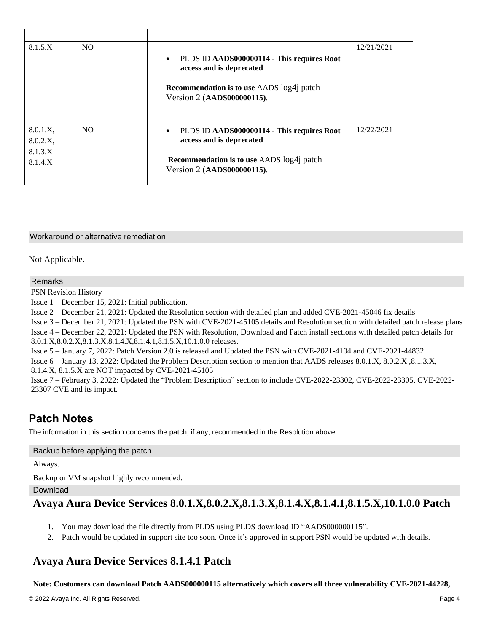| 8.1.5.X                                   | N <sub>O</sub> | PLDS ID AADS000000114 - This requires Root<br>$\bullet$<br>access and is deprecated<br><b>Recommendation is to use AADS</b> log4j patch<br>Version 2 (AADS000000115). | 12/21/2021 |
|-------------------------------------------|----------------|-----------------------------------------------------------------------------------------------------------------------------------------------------------------------|------------|
| 8.0.1.X,<br>8.0.2.X<br>8.1.3.X<br>8.1.4.X | N <sub>O</sub> | PLDS ID AADS000000114 - This requires Root<br>access and is deprecated<br><b>Recommendation is to use AADS</b> log4j patch<br>Version 2 (AADS000000115).              | 12/22/2021 |

#### Workaround or alternative remediation

Not Applicable.

#### Remarks

PSN Revision History

Issue 1 – December 15, 2021: Initial publication.

Issue 2 – December 21, 2021: Updated the Resolution section with detailed plan and added CVE-2021-45046 fix details

Issue 3 – December 21, 2021: Updated the PSN with CVE-2021-45105 details and Resolution section with detailed patch release plans Issue 4 – December 22, 2021: Updated the PSN with Resolution, Download and Patch install sections with detailed patch details for

8.0.1.X,8.0.2.X,8.1.3.X,8.1.4.X,8.1.4.1,8.1.5.X,10.1.0.0 releases.

Issue 5 – January 7, 2022: Patch Version 2.0 is released and Updated the PSN with CVE-2021-4104 and CVE-2021-44832

Issue 6 – January 13, 2022: Updated the Problem Description section to mention that AADS releases 8.0.1.X, 8.0.2.X ,8.1.3.X, 8.1.4.X, 8.1.5.X are NOT impacted by CVE-2021-45105

Issue 7 – February 3, 2022: Updated the "Problem Description" section to include CVE-2022-23302, CVE-2022-23305, CVE-2022- 23307 CVE and its impact.

# **Patch Notes**

The information in this section concerns the patch, if any, recommended in the Resolution above.

#### Backup before applying the patch

Always.

Backup or VM snapshot highly recommended.

Download

## **Avaya Aura Device Services 8.0.1.X,8.0.2.X,8.1.3.X,8.1.4.X,8.1.4.1,8.1.5.X,10.1.0.0 Patch**

- 1. You may download the file directly from PLDS using PLDS download ID "AADS000000115".
- 2. Patch would be updated in support site too soon. Once it's approved in support PSN would be updated with details.

## **Avaya Aura Device Services 8.1.4.1 Patch**

#### **Note: Customers can download Patch AADS000000115 alternatively which covers all three vulnerability CVE-2021-44228,**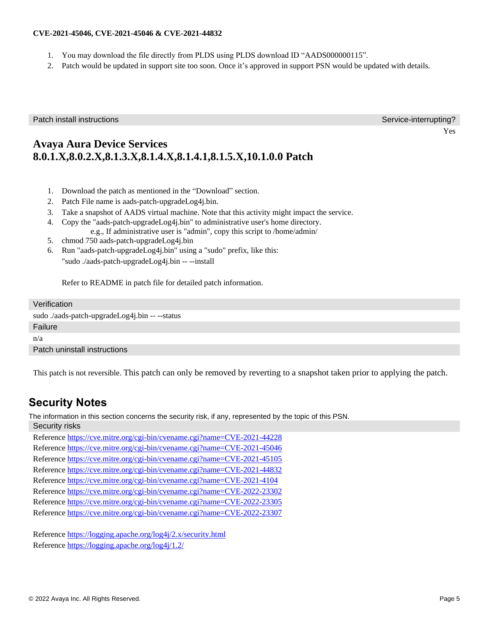### **CVE-2021-45046, CVE-2021-45046 & CVE-2021-44832**

- 1. You may download the file directly from PLDS using PLDS download ID "AADS000000115".
- 2. Patch would be updated in support site too soon. Once it's approved in support PSN would be updated with details.

Patch install instructions **Service-interrupting?** Service-interrupting?

Yes

# **Avaya Aura Device Services 8.0.1.X,8.0.2.X,8.1.3.X,8.1.4.X,8.1.4.1,8.1.5.X,10.1.0.0 Patch**

- 1. Download the patch as mentioned in the "Download" section.
- 2. Patch File name is aads-patch-upgradeLog4j.bin.
- 3. Take a snapshot of AADS virtual machine. Note that this activity might impact the service.
- 4. Copy the "aads-patch-upgradeLog4j.bin" to administrative user's home directory. e.g., If administrative user is "admin", copy this script to /home/admin/
- 5. chmod 750 aads-patch-upgradeLog4j.bin
- 6. Run "aads-patch-upgradeLog4j.bin" using a "sudo" prefix, like this: "sudo ./aads-patch-upgradeLog4j.bin -- --install

Refer to README in patch file for detailed patch information.

#### Verification

sudo ./aads-patch-upgradeLog4j.bin -- --status

Failure

n/a

Patch uninstall instructions

This patch is not reversible. This patch can only be removed by reverting to a snapshot taken prior to applying the patch.

# **Security Notes**

The information in this section concerns the security risk, if any, represented by the topic of this PSN.

Security risks

Reference <https://cve.mitre.org/cgi-bin/cvename.cgi?name=CVE-2021-44228> Reference <https://cve.mitre.org/cgi-bin/cvename.cgi?name=CVE-2021-45046> Reference <https://cve.mitre.org/cgi-bin/cvename.cgi?name=CVE-2021-45105> Reference <https://cve.mitre.org/cgi-bin/cvename.cgi?name=CVE-2021-44832> Reference <https://cve.mitre.org/cgi-bin/cvename.cgi?name=CVE-2021-4104> Reference <https://cve.mitre.org/cgi-bin/cvename.cgi?name=CVE-2022-23302> Reference <https://cve.mitre.org/cgi-bin/cvename.cgi?name=CVE-2022-23305> Reference <https://cve.mitre.org/cgi-bin/cvename.cgi?name=CVE-2022-23307>

Reference<https://logging.apache.org/log4j/2.x/security.html> Reference<https://logging.apache.org/log4j/1.2/>